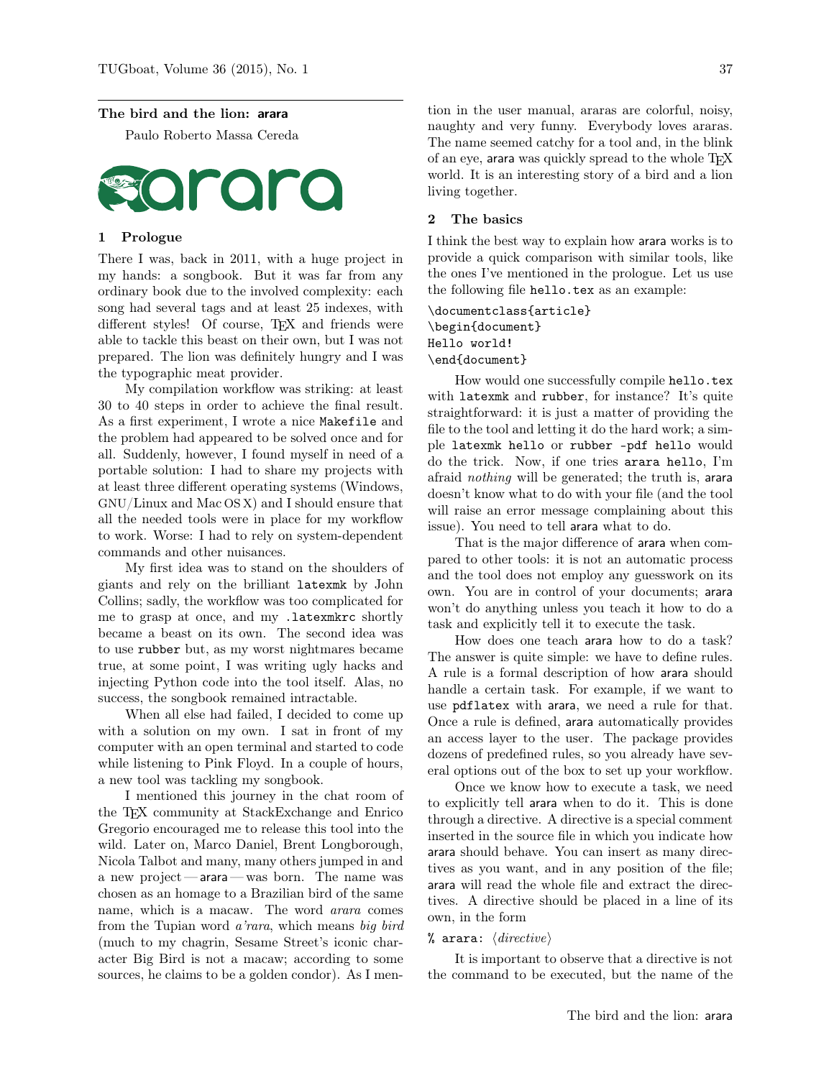#### The bird and the lion: arara

Paulo Roberto Massa Cereda



## 1 Prologue

There I was, back in 2011, with a huge project in my hands: a songbook. But it was far from any ordinary book due to the involved complexity: each song had several tags and at least 25 indexes, with different styles! Of course, TEX and friends were able to tackle this beast on their own, but I was not prepared. The lion was definitely hungry and I was the typographic meat provider.

My compilation workflow was striking: at least 30 to 40 steps in order to achieve the final result. As a first experiment, I wrote a nice Makefile and the problem had appeared to be solved once and for all. Suddenly, however, I found myself in need of a portable solution: I had to share my projects with at least three different operating systems (Windows, GNU/Linux and Mac OS X) and I should ensure that all the needed tools were in place for my workflow to work. Worse: I had to rely on system-dependent commands and other nuisances.

My first idea was to stand on the shoulders of giants and rely on the brilliant latexmk by John Collins; sadly, the workflow was too complicated for me to grasp at once, and my .latexmkrc shortly became a beast on its own. The second idea was to use rubber but, as my worst nightmares became true, at some point, I was writing ugly hacks and injecting Python code into the tool itself. Alas, no success, the songbook remained intractable.

When all else had failed, I decided to come up with a solution on my own. I sat in front of my computer with an open terminal and started to code while listening to Pink Floyd. In a couple of hours, a new tool was tackling my songbook.

I mentioned this journey in the chat room of the TEX community at StackExchange and Enrico Gregorio encouraged me to release this tool into the wild. Later on, Marco Daniel, Brent Longborough, Nicola Talbot and many, many others jumped in and a new project — arara — was born. The name was chosen as an homage to a Brazilian bird of the same name, which is a macaw. The word arara comes from the Tupian word a'rara, which means big bird (much to my chagrin, Sesame Street's iconic character Big Bird is not a macaw; according to some sources, he claims to be a golden condor). As I men-

tion in the user manual, araras are colorful, noisy, naughty and very funny. Everybody loves araras. The name seemed catchy for a tool and, in the blink of an eye, arara was quickly spread to the whole TFX world. It is an interesting story of a bird and a lion living together.

### 2 The basics

I think the best way to explain how arara works is to provide a quick comparison with similar tools, like the ones I've mentioned in the prologue. Let us use the following file hello.tex as an example:

# \documentclass{article} \begin{document} Hello world! \end{document}

How would one successfully compile hello.tex with latexmk and rubber, for instance? It's quite straightforward: it is just a matter of providing the file to the tool and letting it do the hard work; a simple latexmk hello or rubber –pdf hello would do the trick. Now, if one tries arara hello, I'm afraid nothing will be generated; the truth is, arara doesn't know what to do with your file (and the tool will raise an error message complaining about this issue). You need to tell arara what to do.

That is the major difference of arara when compared to other tools: it is not an automatic process and the tool does not employ any guesswork on its own. You are in control of your documents; arara won't do anything unless you teach it how to do a task and explicitly tell it to execute the task.

How does one teach arara how to do a task? The answer is quite simple: we have to define rules. A rule is a formal description of how arara should handle a certain task. For example, if we want to use pdflatex with arara, we need a rule for that. Once a rule is defined, arara automatically provides an access layer to the user. The package provides dozens of predefined rules, so you already have several options out of the box to set up your workflow.

Once we know how to execute a task, we need to explicitly tell arara when to do it. This is done through a directive. A directive is a special comment inserted in the source file in which you indicate how arara should behave. You can insert as many directives as you want, and in any position of the file; arara will read the whole file and extract the directives. A directive should be placed in a line of its own, in the form

### % arara:  $\langle \text{directive} \rangle$

It is important to observe that a directive is not the command to be executed, but the name of the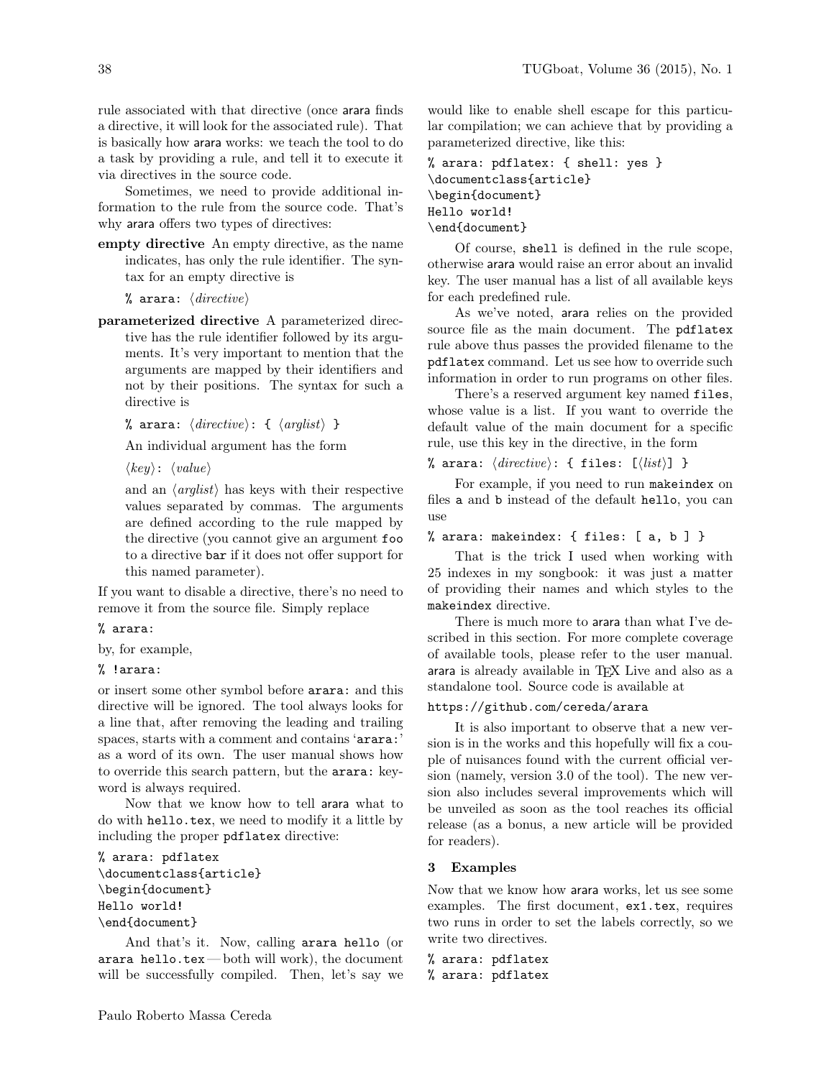rule associated with that directive (once arara finds a directive, it will look for the associated rule). That is basically how arara works: we teach the tool to do a task by providing a rule, and tell it to execute it via directives in the source code.

Sometimes, we need to provide additional information to the rule from the source code. That's why arara offers two types of directives:

empty directive An empty directive, as the name indicates, has only the rule identifier. The syntax for an empty directive is

% arara:  $\langle \text{directive} \rangle$ 

parameterized directive A parameterized directive has the rule identifier followed by its arguments. It's very important to mention that the arguments are mapped by their identifiers and not by their positions. The syntax for such a directive is

% arara:  $\langle \text{directive} \rangle: \{ \langle \text{arglist} \rangle \}$ 

An individual argument has the form

 $\langle key \rangle: \langle value \rangle$ 

and an  $\langle arglist \rangle$  has keys with their respective values separated by commas. The arguments are defined according to the rule mapped by the directive (you cannot give an argument foo to a directive bar if it does not offer support for this named parameter).

If you want to disable a directive, there's no need to remove it from the source file. Simply replace

# % arara:

by, for example,

### % !arara:

or insert some other symbol before arara: and this directive will be ignored. The tool always looks for a line that, after removing the leading and trailing spaces, starts with a comment and contains 'arara:' as a word of its own. The user manual shows how to override this search pattern, but the arara: keyword is always required.

Now that we know how to tell arara what to do with hello.tex, we need to modify it a little by including the proper pdflatex directive:

```
% arara: pdflatex
\documentclass{article}
\begin{document}
Hello world!
\end{document}
```
And that's it. Now, calling arara hello (or arara hello.tex — both will work), the document will be successfully compiled. Then, let's say we would like to enable shell escape for this particular compilation; we can achieve that by providing a parameterized directive, like this:

```
% arara: pdflatex: { shell: yes }
\documentclass{article}
\begin{document}
Hello world!
\end{document}
```
Of course, shell is defined in the rule scope, otherwise arara would raise an error about an invalid key. The user manual has a list of all available keys for each predefined rule.

As we've noted, arara relies on the provided source file as the main document. The pdflatex rule above thus passes the provided filename to the pdflatex command. Let us see how to override such information in order to run programs on other files.

There's a reserved argument key named files, whose value is a list. If you want to override the default value of the main document for a specific rule, use this key in the directive, in the form

% arara:  $\langle \text{directive} \rangle:$  { files:  $[\langle \text{list} \rangle]$  }

For example, if you need to run makeindex on files a and b instead of the default hello, you can use

### % arara: makeindex: { files: [ a, b ] }

That is the trick I used when working with 25 indexes in my songbook: it was just a matter of providing their names and which styles to the makeindex directive.

There is much more to arara than what I've described in this section. For more complete coverage of available tools, please refer to the user manual. arara is already available in TEX Live and also as a standalone tool. Source code is available at

### https://github.com/cereda/arara

It is also important to observe that a new version is in the works and this hopefully will fix a couple of nuisances found with the current official version (namely, version 3.0 of the tool). The new version also includes several improvements which will be unveiled as soon as the tool reaches its official release (as a bonus, a new article will be provided for readers).

### 3 Examples

Now that we know how arara works, let us see some examples. The first document, ex1.tex, requires two runs in order to set the labels correctly, so we write two directives.

```
% arara: pdflatex
% arara: pdflatex
```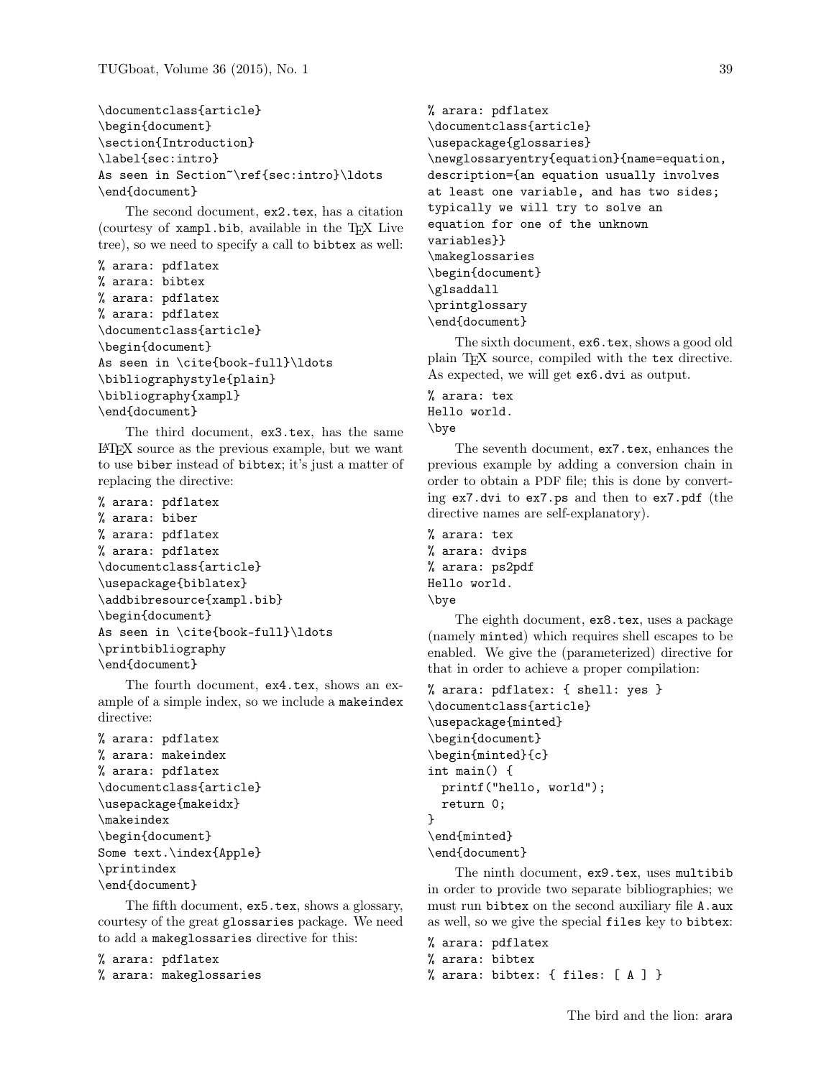\documentclass{article} \begin{document} \section{Introduction} \label{sec:intro} As seen in Section~\ref{sec:intro}\ldots \end{document}

The second document, ex2.tex, has a citation (courtesy of xampl.bib, available in the TEX Live tree), so we need to specify a call to bibtex as well:

```
% arara: pdflatex
% arara: bibtex
% arara: pdflatex
% arara: pdflatex
\documentclass{article}
\begin{document}
As seen in \cite{book-full}\ldots
\bibliographystyle{plain}
\bibliography{xampl}
\end{document}
```
The third document, ex3.tex, has the same LATEX source as the previous example, but we want to use biber instead of bibtex; it's just a matter of replacing the directive:

```
% arara: pdflatex
% arara: biber
% arara: pdflatex
% arara: pdflatex
\documentclass{article}
\usepackage{biblatex}
\addbibresource{xampl.bib}
\begin{document}
As seen in \cite{book-full}\ldots
\printbibliography
\end{document}
```
The fourth document, ex4.tex, shows an example of a simple index, so we include a makeindex directive:

```
% arara: pdflatex
% arara: makeindex
% arara: pdflatex
\documentclass{article}
\usepackage{makeidx}
\makeindex
\begin{document}
Some text.\index{Apple}
\printindex
\end{document}
```
The fifth document, ex5.tex, shows a glossary, courtesy of the great glossaries package. We need to add a makeglossaries directive for this:

```
% arara: pdflatex
% arara: makeglossaries
```

```
% arara: pdflatex
\documentclass{article}
\usepackage{glossaries}
\newglossaryentry{equation}{name=equation,
description={an equation usually involves
at least one variable, and has two sides;
typically we will try to solve an
equation for one of the unknown
variables}}
\makeglossaries
\begin{document}
\glsaddall
\printglossary
\end{document}
```
The sixth document, ex6.tex, shows a good old plain TEX source, compiled with the tex directive. As expected, we will get ex6.dvi as output.

```
% arara: tex
Hello world.
\bye
```
The seventh document, ex7.tex, enhances the previous example by adding a conversion chain in order to obtain a PDF file; this is done by converting ex7.dvi to ex7.ps and then to ex7.pdf (the directive names are self-explanatory).

```
% arara: tex
% arara: dvips
% arara: ps2pdf
Hello world.
\bye
```
The eighth document, ex8.tex, uses a package (namely minted) which requires shell escapes to be enabled. We give the (parameterized) directive for that in order to achieve a proper compilation:

```
% arara: pdflatex: { shell: yes }
\documentclass{article}
\usepackage{minted}
\begin{document}
\begin{minted}{c}
int main() {
 printf("hello, world");
 return 0;
}
\end{minted}
\end{document}
```
The ninth document, ex9.tex, uses multibib in order to provide two separate bibliographies; we must run bibtex on the second auxiliary file A.aux as well, so we give the special files key to bibtex:

% arara: pdflatex % arara: bibtex % arara: bibtex: { files: [ A ] }